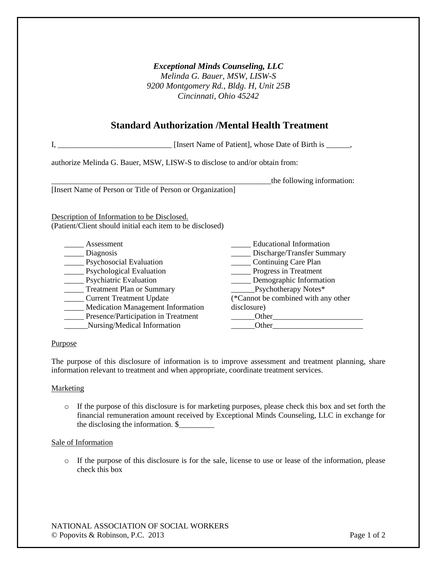## *Exceptional Minds Counseling, LLC*

*Melinda G. Bauer, MSW, LISW-S 9200 Montgomery Rd., Bldg. H, Unit 25B Cincinnati, Ohio 45242*

## **Standard Authorization /Mental Health Treatment**

| [Insert Name of Patient], whose Date of Birth is _____                     |                                     |
|----------------------------------------------------------------------------|-------------------------------------|
| authorize Melinda G. Bauer, MSW, LISW-S to disclose to and/or obtain from: |                                     |
|                                                                            | the following information:          |
| [Insert Name of Person or Title of Person or Organization]                 |                                     |
|                                                                            |                                     |
| Description of Information to be Disclosed.                                |                                     |
| (Patient/Client should initial each item to be disclosed)                  |                                     |
|                                                                            |                                     |
| Assessment                                                                 | Educational Information             |
| <u>Diagnosis</u>                                                           | Discharge/Transfer Summary          |
| <b>Executed</b> Evaluation                                                 | Continuing Care Plan                |
| <b>Psychological Evaluation</b>                                            | Progress in Treatment               |
| <b>Psychiatric Evaluation</b>                                              | Demographic Information             |
| <b>Treatment Plan or Summary</b>                                           | Psychotherapy Notes*                |
| <b>Current Treatment Update</b>                                            | (*Cannot be combined with any other |
| <b>Medication Management Information</b>                                   | disclosure)                         |
| Presence/Participation in Treatment                                        | Other                               |

\_\_\_\_\_\_Nursing/Medical Information

\_\_\_\_\_\_Other\_\_\_\_\_\_\_\_\_\_\_\_\_\_\_\_\_\_\_\_\_\_\_  $\_$ Other $\_$ 

## Purpose

The purpose of this disclosure of information is to improve assessment and treatment planning, share information relevant to treatment and when appropriate, coordinate treatment services.

### **Marketing**

o If the purpose of this disclosure is for marketing purposes, please check this box and set forth the financial remuneration amount received by Exceptional Minds Counseling, LLC in exchange for the disclosing the information. \$\_\_\_\_\_\_\_\_\_

### Sale of Information

o If the purpose of this disclosure is for the sale, license to use or lease of the information, please check this box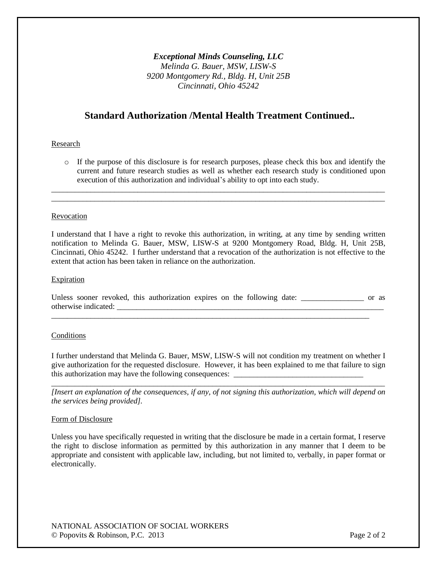*Exceptional Minds Counseling, LLC Melinda G. Bauer, MSW, LISW-S 9200 Montgomery Rd., Bldg. H, Unit 25B Cincinnati, Ohio 45242*

# **Standard Authorization /Mental Health Treatment Continued..**

#### Research

o If the purpose of this disclosure is for research purposes, please check this box and identify the current and future research studies as well as whether each research study is conditioned upon execution of this authorization and individual's ability to opt into each study.

\_\_\_\_\_\_\_\_\_\_\_\_\_\_\_\_\_\_\_\_\_\_\_\_\_\_\_\_\_\_\_\_\_\_\_\_\_\_\_\_\_\_\_\_\_\_\_\_\_\_\_\_\_\_\_\_\_\_\_\_\_\_\_\_\_\_\_\_\_\_\_\_\_\_\_\_\_\_\_\_\_\_\_\_\_ \_\_\_\_\_\_\_\_\_\_\_\_\_\_\_\_\_\_\_\_\_\_\_\_\_\_\_\_\_\_\_\_\_\_\_\_\_\_\_\_\_\_\_\_\_\_\_\_\_\_\_\_\_\_\_\_\_\_\_\_\_\_\_\_\_\_\_\_\_\_\_\_\_\_\_\_\_\_\_\_\_\_\_\_\_

#### Revocation

I understand that I have a right to revoke this authorization, in writing, at any time by sending written notification to Melinda G. Bauer, MSW, LISW-S at 9200 Montgomery Road, Bldg. H, Unit 25B, Cincinnati, Ohio 45242. I further understand that a revocation of the authorization is not effective to the extent that action has been taken in reliance on the authorization.

#### Expiration

Unless sooner revoked, this authorization expires on the following date: \_\_\_\_\_\_\_\_\_\_\_\_\_\_ or as otherwise indicated: \_\_\_\_\_\_\_\_\_\_\_\_\_\_\_\_\_\_\_\_\_\_\_\_\_\_\_\_\_\_\_\_\_\_\_\_\_\_\_\_\_\_\_\_\_\_\_\_\_\_\_\_\_\_\_\_\_\_\_\_\_\_\_\_\_\_\_\_

\_\_\_\_\_\_\_\_\_\_\_\_\_\_\_\_\_\_\_\_\_\_\_\_\_\_\_\_\_\_\_\_\_\_\_\_\_\_\_\_\_\_\_\_\_\_\_\_\_\_\_\_\_\_\_\_\_\_\_\_\_\_\_\_\_\_\_\_\_\_\_\_\_\_\_\_\_\_\_\_\_

#### Conditions

I further understand that Melinda G. Bauer, MSW, LISW-S will not condition my treatment on whether I give authorization for the requested disclosure. However, it has been explained to me that failure to sign this authorization may have the following consequences: \_\_\_\_\_\_\_\_\_\_\_\_\_\_\_\_\_\_\_\_\_\_\_\_\_

\_\_\_\_\_\_\_\_\_\_\_\_\_\_\_\_\_\_\_\_\_\_\_\_\_\_\_\_\_\_\_\_\_\_\_\_\_\_\_\_\_\_\_\_\_\_\_\_\_\_\_\_\_\_\_\_\_\_\_\_\_\_\_\_\_\_\_\_\_\_\_\_\_\_\_\_\_\_\_\_\_\_\_\_\_ *[Insert an explanation of the consequences, if any, of not signing this authorization, which will depend on the services being provided].*

#### Form of Disclosure

Unless you have specifically requested in writing that the disclosure be made in a certain format, I reserve the right to disclose information as permitted by this authorization in any manner that I deem to be appropriate and consistent with applicable law, including, but not limited to, verbally, in paper format or electronically.